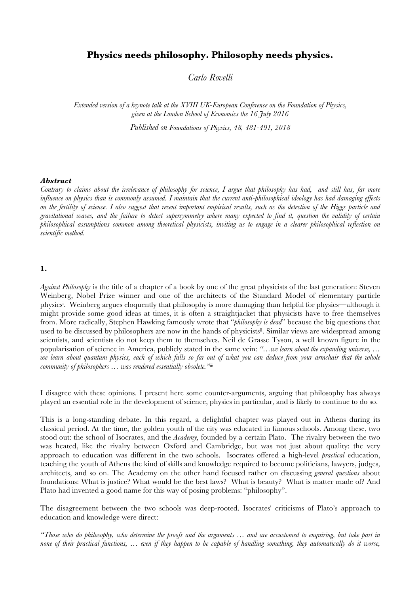# **Physics needs philosophy. Philosophy needs physics.**

*Carlo Rovelli*

*Extended version of a keynote talk at the XVIII UK-European Conference on the Foundation of Physics, given at the London School of Economics the 16 July 2016*

*Published on Foundations of Physics, 48, 481-491, 2018*

#### *Abstract*

Contrary to claims about the irrelevance of philosophy for science, I argue that philosophy has had, and still has, far more influence on physics than is commonly assumed. I maintain that the current anti-philosophical ideology has had damaging effects on the fertility of science. I also suggest that recent important empirical results, such as the detection of the Higgs particle and gravitational waves, and the failure to detect subersymmetry where many expected to find it, question the validity of certain philosophical assumptions common among theoretical physicists, inviting us to engage in a clearer philosophical reflection on *scientific method.*

#### **1.**

*Against Philosophy* is the title of a chapter of a book by one of the great physicists of the last generation: Steven Weinberg, Nobel Prize winner and one of the architects of the Standard Model of elementary particle physicsi . Weinberg argues eloquently that philosophy is more damaging than helpful for physics—although it might provide some good ideas at times, it is often a straightjacket that physicists have to free themselves from. More radically, Stephen Hawking famously wrote that "*philosophy is dead*" because the big questions that used to be discussed by philosophers are now in the hands of physicists<sup>ii</sup>. Similar views are widespread among scientists, and scientists do not keep them to themselves. Neil de Grasse Tyson, a well known figure in the popularisation of science in America, publicly stated in the same vein: *"…we learn about the expanding universe, …* we learn about quantum physics, each of which falls so far out of what you can deduce from your armchair that the whole *community of philosophers … was rendered essentially obsolete."*iii

I disagree with these opinions. I present here some counter-arguments, arguing that philosophy has always played an essential role in the development of science, physics in particular, and is likely to continue to do so.

This is a long-standing debate. In this regard, a delightful chapter was played out in Athens during its classical period. At the time, the golden youth of the city was educated in famous schools. Among these, two stood out: the school of Isocrates, and the *Academy,* founded by a certain Plato. The rivalry between the two was heated, like the rivalry between Oxford and Cambridge, but was not just about quality: the very approach to education was different in the two schools. Isocrates offered a high-level *practical* education, teaching the youth of Athens the kind of skills and knowledge required to become politicians, lawyers, judges, architects, and so on. The Academy on the other hand focused rather on discussing *general questions* about foundations: What is justice? What would be the best laws? What is beauty? What is matter made of? And Plato had invented a good name for this way of posing problems: "philosophy".

The disagreement between the two schools was deep-rooted. Isocrates' criticisms of Plato's approach to education and knowledge were direct:

"Those who do philosophy, who determine the proofs and the arguments ... and are accustomed to enquiring, but take part in none of their practical functions, ... even if they happen to be capable of handling something, they automatically do it worse,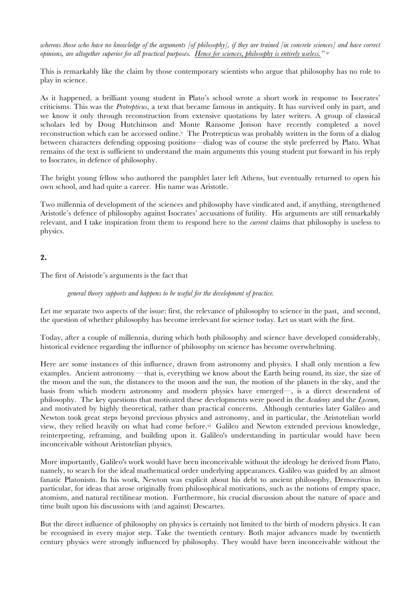whereas those who have no knowledge of the arguments [of philosophy], if they are trained [in concrete sciences] and have correct *opinions, are altogether superior for all practical purposes. Hence for sciences, philosophy is entirely useless." iv*

This is remarkably like the claim by those contemporary scientists who argue that philosophy has no role to play in science.

As it happened, a brilliant young student in Plato's school wrote a short work in response to Isocrates' criticisms. This was the *Protrepticus*, a text that became famous in antiquity. It has survived only in part, and we know it only through reconstruction from extensive quotations by later writers. A group of classical scholars led by Doug Hutchinson and Monte Ransome Jonson have recently completed a novel reconstruction which can be accessed online.<sup>v</sup> The Protrepticus was probably written in the form of a dialog between characters defending opposing positions*—*dialog was of course the style preferred by Plato. What remains of the text is sufficient to understand the main arguments this young student put forward in his reply to Isocrates, in defence of philosophy.

The bright young fellow who authored the pamphlet later left Athens, but eventually returned to open his own school, and had quite a career. His name was Aristotle.

Two millennia of development of the sciences and philosophy have vindicated and, if anything, strengthened Aristotle's defence of philosophy against Isocrates' accusations of futility. His arguments are still remarkably relevant, and I take inspiration from them to respond here to the *current* claims that philosophy is useless to physics.

### **2.**

The first of Aristotle's arguments is the fact that

*general theory supports and happens to be useful for the development of practice.* 

Let me separate two aspects of the issue: first, the relevance of philosophy to science in the past, and second, the question of whether philosophy has become irrelevant for science today. Let us start with the first.

Today, after a couple of millennia, during which both philosophy and science have developed considerably, historical evidence regarding the influence of philosophy on science has become overwhelming.

Here are some instances of this influence, drawn from astronomy and physics. I shall only mention a few examples. Ancient astronomy *—*that is, everything we know about the Earth being round, its size, the size of the moon and the sun, the distances to the moon and the sun, the motion of the planets in the sky, and the basis from which modern astronomy and modern physics have emerged*—*, is a direct descendent of philosophy. The key questions that motivated these developments were posed in the *Academy* and the *Lyceum,* and motivated by highly theoretical, rather than practical concerns. Although centuries later Galileo and Newton took great steps beyond previous physics and astronomy, and in particular, the Aristotelian world view, they relied heavily on what had come before.<sup>vi</sup> Galileo and Newton extended previous knowledge, reinterpreting, reframing, and building upon it. Galileo's understanding in particular would have been inconceivable without Aristotelian physics.

More importantly, Galileo's work would have been inconceivable without the ideology he derived from Plato, namely, to search for the ideal mathematical order underlying appearances. Galileo was guided by an almost fanatic Platonism. In his work, Newton was explicit about his debt to ancient philosophy, Democritus in particular, for ideas that arose originally from philosophical motivations, such as the notions of empty space, atomism, and natural rectilinear motion. Furthermore, his crucial discussion about the nature of space and time built upon his discussions with (and against) Descartes.

But the direct influence of philosophy on physics is certainly not limited to the birth of modern physics. It can be recognised in every major step. Take the twentieth century. Both major advances made by twentieth century physics were strongly influenced by philosophy. They would have been inconceivable without the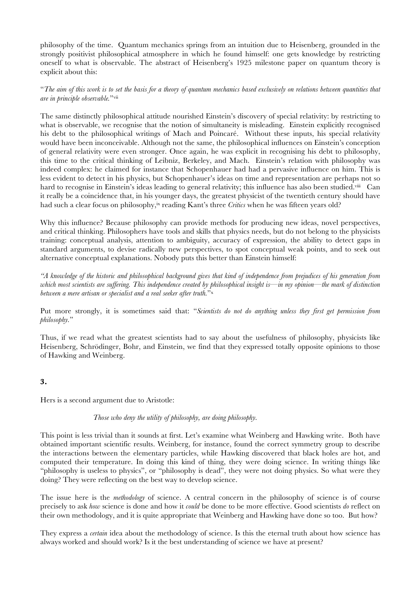philosophy of the time. Quantum mechanics springs from an intuition due to Heisenberg, grounded in the strongly positivist philosophical atmosphere in which he found himself: one gets knowledge by restricting oneself to what is observable. The abstract of Heisenberg's 1925 milestone paper on quantum theory is explicit about this:

"The aim of this work is to set the basis for a theory of quantum mechanics based exclusively on relations between quantities that *are in principle observable.*"vii

The same distinctly philosophical attitude nourished Einstein's discovery of special relativity: by restricting to what is observable, we recognise that the notion of simultaneity is misleading. Einstein explicitly recognised his debt to the philosophical writings of Mach and Poincaré. Without these inputs, his special relativity would have been inconceivable. Although not the same, the philosophical influences on Einstein's conception of general relativity were even stronger. Once again, he was explicit in recognising his debt to philosophy, this time to the critical thinking of Leibniz, Berkeley, and Mach. Einstein's relation with philosophy was indeed complex: he claimed for instance that Schopenhauer had had a pervasive influence on him. This is less evident to detect in his physics, but Schopenhauer's ideas on time and representation are perhaps not so hard to recognise in Einstein's ideas leading to general relativity; this influence has also been studied.<sup>viii</sup> Can it really be a coincidence that, in his younger days, the greatest physicist of the twentieth century should have had such a clear focus on philosophy,<sup>ix</sup> reading Kant's three *Critics* when he was fifteen years old?

Why this influence? Because philosophy can provide methods for producing new ideas, novel perspectives, and critical thinking. Philosophers have tools and skills that physics needs, but do not belong to the physicists training: conceptual analysis, attention to ambiguity, accuracy of expression, the ability to detect gaps in standard arguments, to devise radically new perspectives, to spot conceptual weak points, and to seek out alternative conceptual explanations. Nobody puts this better than Einstein himself:

"A knowledge of the historic and philosophical background gives that kind of independence from prejudices of his generation from which most scientists are suffering. This independence created by philosophical insight is—in my opinion—the mark of distinction *between a mere artisan or specialist and a real seeker after truth.*"x

Put more strongly, it is sometimes said that: "*Scientists do not do anything unless they first get permission from philosophy.*"

Thus, if we read what the greatest scientists had to say about the usefulness of philosophy, physicists like Heisenberg, Schrödinger, Bohr, and Einstein, we find that they expressed totally opposite opinions to those of Hawking and Weinberg.

### **3.**

Hers is a second argument due to Aristotle:

#### *Those who deny the utility of philosophy, are doing philosophy.*

This point is less trivial than it sounds at first. Let's examine what Weinberg and Hawking write. Both have obtained important scientific results. Weinberg, for instance, found the correct symmetry group to describe the interactions between the elementary particles, while Hawking discovered that black holes are hot, and computed their temperature. In doing this kind of thing, they were doing science. In writing things like "philosophy is useless to physics", or "philosophy is dead", they were not doing physics. So what were they doing? They were reflecting on the best way to develop science.

The issue here is the *methodology* of science. A central concern in the philosophy of science is of course precisely to ask *how* science is done and how it *could* be done to be more effective. Good scientists *do* reflect on their own methodology, and it is quite appropriate that Weinberg and Hawking have done so too. But how?

They express a *certain* idea about the methodology of science. Is this the eternal truth about how science has always worked and should work? Is it the best understanding of science we have at present?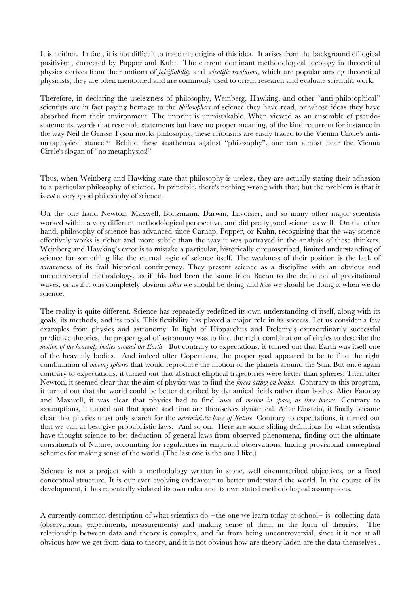It is neither. In fact, it is not difficult to trace the origins of this idea. It arises from the background of logical positivism, corrected by Popper and Kuhn. The current dominant methodological ideology in theoretical physics derives from their notions of *falsifiability* and *scientific revolution*, which are popular among theoretical physicists; they are often mentioned and are commonly used to orient research and evaluate scientific work.

Therefore, in declaring the uselessness of philosophy, Weinberg, Hawking, and other "anti-philosophical" scientists are in fact paying homage to the *philosophers* of science they have read, or whose ideas they have absorbed from their environment. The imprint is unmistakable. When viewed as an ensemble of pseudostatements, words that resemble statements but have no proper meaning, of the kind recurrent for instance in the way Neil de Grasse Tyson mocks philosophy, these criticisms are easily traced to the Vienna Circle's antimetaphysical stance.xi Behind these anathemas against "philosophy", one can almost hear the Vienna Circle's slogan of "no metaphysics!"

Thus, when Weinberg and Hawking state that philosophy is useless, they are actually stating their adhesion to a particular philosophy of science. In principle, there's nothing wrong with that; but the problem is that it is *not* a very good philosophy of science.

On the one hand Newton, Maxwell, Boltzmann, Darwin, Lavoisier, and so many other major scientists worked within a very different methodological perspective, and did pretty good science as well. On the other hand, philosophy of science has advanced since Carnap, Popper, or Kuhn, recognising that the way science effectively works is richer and more subtle than the way it was portrayed in the analysis of these thinkers. Weinberg and Hawking's error is to mistake a particular, historically circumscribed, limited understanding of science for something like the eternal logic of science itself. The weakness of their position is the lack of awareness of its frail historical contingency. They present science as a discipline with an obvious and uncontroversial methodology, as if this had been the same from Bacon to the detection of gravitational waves, or as if it was completely obvious *what* we should be doing and *how* we should be doing it when we do science.

The reality is quite different. Science has repeatedly redefined its own understanding of itself, along with its goals, its methods, and its tools. This flexibility has played a major role in its success. Let us consider a few examples from physics and astronomy. In light of Hipparchus and Ptolemy's extraordinarily successful predictive theories, the proper goal of astronomy was to find the right combination of circles to describe the *motion of the heavenly bodies around the Earth*. But contrary to expectations, it turned out that Earth was itself one of the heavenly bodies. And indeed after Copernicus, the proper goal appeared to be to find the right combination of *moving spheres* that would reproduce the motion of the planets around the Sun. But once again contrary to expectations, it turned out that abstract elliptical trajectories were better than spheres. Then after Newton, it seemed clear that the aim of physics was to find the *forces acting on bodies*. Contrary to this program, it turned out that the world could be better described by dynamical fields rather than bodies. After Faraday and Maxwell, it was clear that physics had to find laws of *motion in space, as time passes*. Contrary to assumptions, it turned out that space and time are themselves dynamical. After Einstein, it finally became clear that physics must only search for the *deterministic laws of Nature*. Contrary to expectations, it turned out that we can at best give probabilistic laws. And so on. Here are some sliding definitions for what scientists have thought science to be: deduction of general laws from observed phenomena, finding out the ultimate constituents of Nature, accounting for regularities in empirical observations, finding provisional conceptual schemes for making sense of the world. (The last one is the one I like.)

Science is not a project with a methodology written in stone, well circumscribed objectives, or a fixed conceptual structure. It is our ever evolving endeavour to better understand the world. In the course of its development, it has repeatedly violated its own rules and its own stated methodological assumptions.

A currently common description of what scientists do −the one we learn today at school− is collecting data (observations, experiments, measurements) and making sense of them in the form of theories. The relationship between data and theory is complex, and far from being uncontroversial, since it it not at all obvious how we get from data to theory, and it is not obvious how are theory-laden are the data themselves .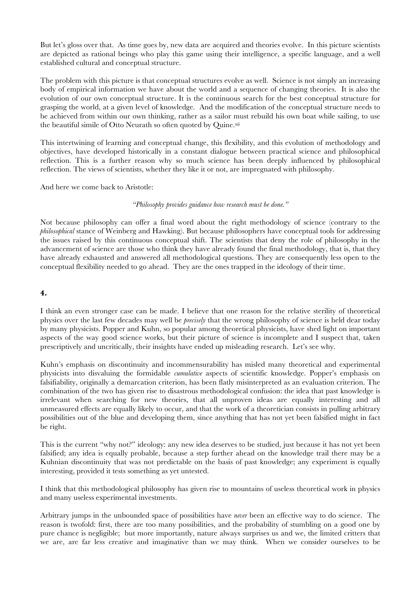But let's gloss over that. As time goes by, new data are acquired and theories evolve. In this picture scientists are depicted as rational beings who play this game using their intelligence, a specific language, and a well established cultural and conceptual structure.

The problem with this picture is that conceptual structures evolve as well. Science is not simply an increasing body of empirical information we have about the world and a sequence of changing theories. It is also the evolution of our own conceptual structure. It is the continuous search for the best conceptual structure for grasping the world, at a given level of knowledge. And the modification of the conceptual structure needs to be achieved from within our own thinking, rather as a sailor must rebuild his own boat while sailing, to use the beautiful simile of Otto Neurath so often quoted by Quine.xii

This intertwining of learning and conceptual change, this flexibility, and this evolution of methodology and objectives, have developed historically in a constant dialogue between practical science and philosophical reflection. This is a further reason why so much science has been deeply influenced by philosophical reflection. The views of scientists, whether they like it or not, are impregnated with philosophy.

And here we come back to Aristotle:

#### *"Philosophy provides guidance how research must be done."*

Not because philosophy can offer a final word about the right methodology of science (contrary to the *philosophical* stance of Weinberg and Hawking). But because philosophers have conceptual tools for addressing the issues raised by this continuous conceptual shift. The scientists that deny the role of philosophy in the advancement of science are those who think they have already found the final methodology, that is, that they have already exhausted and answered all methodological questions. They are consequently less open to the conceptual flexibility needed to go ahead. They are the ones trapped in the ideology of their time.

### **4.**

I think an even stronger case can be made. I believe that one reason for the relative sterility of theoretical physics over the last few decades may well be *precisely* that the wrong philosophy of science is held dear today by many physicists. Popper and Kuhn, so popular among theoretical physicists, have shed light on important aspects of the way good science works, but their picture of science is incomplete and I suspect that, taken prescriptively and uncritically, their insights have ended up misleading research. Let's see why.

Kuhn's emphasis on discontinuity and incommensurability has misled many theoretical and experimental physicists into disvaluing the formidable *cumulative* aspects of scientific knowledge. Popper's emphasis on falsifiability, originally a demarcation criterion, has been flatly misinterpreted as an evaluation criterion. The combination of the two has given rise to disastrous methodological confusion: the idea that past knowledge is irrelevant when searching for new theories, that all unproven ideas are equally interesting and all unmeasured effects are equally likely to occur, and that the work of a theoretician consists in pulling arbitrary possibilities out of the blue and developing them, since anything that has not yet been falsified might in fact be right.

This is the current "why not?" ideology: any new idea deserves to be studied, just because it has not yet been falsified; any idea is equally probable, because a step further ahead on the knowledge trail there may be a Kuhnian discontinuity that was not predictable on the basis of past knowledge; any experiment is equally interesting, provided it tests something as yet untested.

I think that this methodological philosophy has given rise to mountains of useless theoretical work in physics and many useless experimental investments.

Arbitrary jumps in the unbounded space of possibilities have *never* been an effective way to do science. The reason is twofold: first, there are too many possibilities, and the probability of stumbling on a good one by pure chance is negligible; but more importantly, nature always surprises us and we, the limited critters that we are, are far less creative and imaginative than we may think. When we consider ourselves to be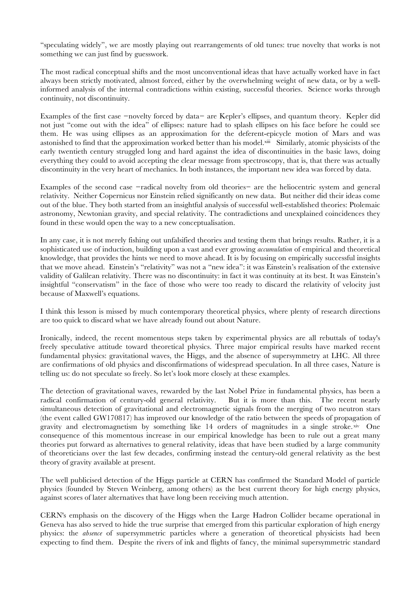"speculating widely", we are mostly playing out rearrangements of old tunes: true novelty that works is not something we can just find by guesswork.

The most radical conceptual shifts and the most unconventional ideas that have actually worked have in fact always been strictly motivated, almost forced, either by the overwhelming weight of new data, or by a wellinformed analysis of the internal contradictions within existing, successful theories. Science works through continuity, not discontinuity.

Examples of the first case −novelty forced by data− are Kepler's ellipses, and quantum theory. Kepler did not just "come out with the idea" of ellipses: nature had to splash ellipses on his face before he could see them. He was using ellipses as an approximation for the deferent-epicycle motion of Mars and was astonished to find that the approximation worked better than his model.xiii Similarly, atomic physicists of the early twentieth century struggled long and hard against the idea of discontinuities in the basic laws, doing everything they could to avoid accepting the clear message from spectroscopy, that is, that there was actually discontinuity in the very heart of mechanics. In both instances, the important new idea was forced by data.

Examples of the second case −radical novelty from old theories− are the heliocentric system and general relativity. Neither Copernicus nor Einstein relied significantly on new data. But neither did their ideas come out of the blue. They both started from an insightful analysis of successful well-established theories: Ptolemaic astronomy, Newtonian gravity, and special relativity. The contradictions and unexplained coincidences they found in these would open the way to a new conceptualisation.

In any case, it is not merely fishing out unfalsified theories and testing them that brings results. Rather, it is a sophisticated use of induction, building upon a vast and ever growing *accumulation* of empirical and theoretical knowledge, that provides the hints we need to move ahead. It is by focusing on empirically successful insights that we move ahead. Einstein's "relativity" was not a "new idea": it was Einstein's realisation of the extensive validity of Galilean relativity. There was no discontinuity: in fact it was continuity at its best. It was Einstein's insightful "conservatism" in the face of those who were too ready to discard the relativity of velocity just because of Maxwell's equations.

I think this lesson is missed by much contemporary theoretical physics, where plenty of research directions are too quick to discard what we have already found out about Nature.

Ironically, indeed, the recent momentous steps taken by experimental physics are all rebuttals of today's freely speculative attitude toward theoretical physics. Three major empirical results have marked recent fundamental physics: gravitational waves, the Higgs, and the absence of supersymmetry at LHC. All three are confirmations of old physics and disconfirmations of widespread speculation. In all three cases, Nature is telling us: do not speculate so freely. So let's look more closely at these examples.

The detection of gravitational waves, rewarded by the last Nobel Prize in fundamental physics, has been a radical confirmation of century-old general relativity. But it is more than this. The recent nearly simultaneous detection of gravitational and electromagnetic signals from the merging of two neutron stars (the event called GW170817) has improved our knowledge of the ratio between the speeds of propagation of gravity and electromagnetism by something like 14 orders of magnitudes in a single stroke. xiv One consequence of this momentous increase in our empirical knowledge has been to rule out a great many theories put forward as alternatives to general relativity, ideas that have been studied by a large community of theoreticians over the last few decades, confirming instead the century-old general relativity as the best theory of gravity available at present.

The well publicised detection of the Higgs particle at CERN has confirmed the Standard Model of particle physics (founded by Steven Weinberg, among others) as the best current theory for high energy physics, against scores of later alternatives that have long been receiving much attention.

CERN's emphasis on the discovery of the Higgs when the Large Hadron Collider became operational in Geneva has also served to hide the true surprise that emerged from this particular exploration of high energy physics: the *absence* of supersymmetric particles where a generation of theoretical physicists had been expecting to find them. Despite the rivers of ink and flights of fancy, the minimal supersymmetric standard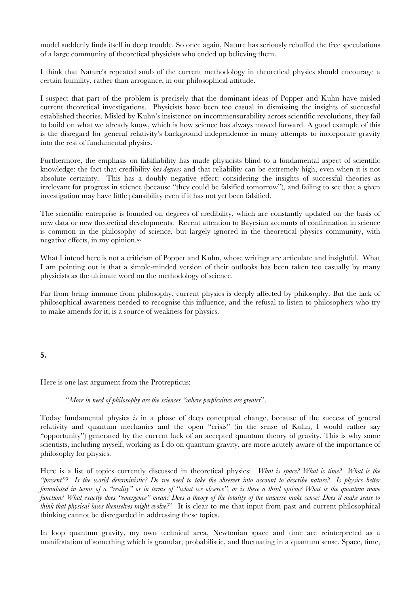model suddenly finds itself in deep trouble. So once again, Nature has seriously rebuffed the free speculations of a large community of theoretical physicists who ended up believing them.

I think that Nature's repeated snub of the current methodology in theoretical physics should encourage a certain humility, rather than arrogance, in our philosophical attitude.

I suspect that part of the problem is precisely that the dominant ideas of Popper and Kuhn have misled current theoretical investigations. Physicists have been too casual in dismissing the insights of successful established theories. Misled by Kuhn's insistence on incommensurability across scientific revolutions, they fail to build on what we already know, which is how science has always moved forward. A good example of this is the disregard for general relativity's background independence in many attempts to incorporate gravity into the rest of fundamental physics.

Furthermore, the emphasis on falsifiability has made physicists blind to a fundamental aspect of scientific knowledge: the fact that credibility *has degrees* and that reliability can be extremely high, even when it is not absolute certainty. This has a doubly negative effect: considering the insights of successful theories as irrelevant for progress in science (because "they could be falsified tomorrow"), and failing to see that a given investigation may have little plausibility even if it has not yet been falsified.

The scientific enterprise is founded on degrees of credibility, which are constantly updated on the basis of new data or new theoretical developments. Recent attention to Bayesian accounts of confirmation in science is common in the philosophy of science, but largely ignored in the theoretical physics community, with negative effects, in my opinion.xv

What I intend here is not a criticism of Popper and Kuhn, whose writings are articulate and insightful. What I am pointing out is that a simple-minded version of their outlooks has been taken too casually by many physicists as the ultimate word on the methodology of science.

Far from being immune from philosophy, current physics is deeply affected by philosophy. But the lack of philosophical awareness needed to recognise this influence, and the refusal to listen to philosophers who try to make amends for it, is a source of weakness for physics.

#### **5.**

Here is one last argument from the Protrepticus:

"*More in need of philosophy are the sciences "where perplexities are greater*".

Today fundamental physics *is* in a phase of deep conceptual change, because of the success of general relativity and quantum mechanics and the open "crisis" (in the sense of Kuhn, I would rather say "opportunity") generated by the current lack of an accepted quantum theory of gravity. This is why some scientists, including myself, working as I do on quantum gravity, are more acutely aware of the importance of philosophy for physics.

Here is a list of topics currently discussed in theoretical physics: *What is space? What is time? What is the* "present"? Is the world deterministic? Do we need to take the observer into account to describe nature? Is physics better formulated in terms of a "reality" or in terms of "what we observe", or is there a third option? What is the quantum wave function? What exactly does "emergence" mean? Does a theory of the totality of the universe make sense? Does it make sense to *think that physical laws themselves might evolve?*" It is clear to me that input from past and current philosophical thinking cannot be disregarded in addressing these topics.

In loop quantum gravity, my own technical area, Newtonian space and time are reinterpreted as a manifestation of something which is granular, probabilistic, and fluctuating in a quantum sense. Space, time,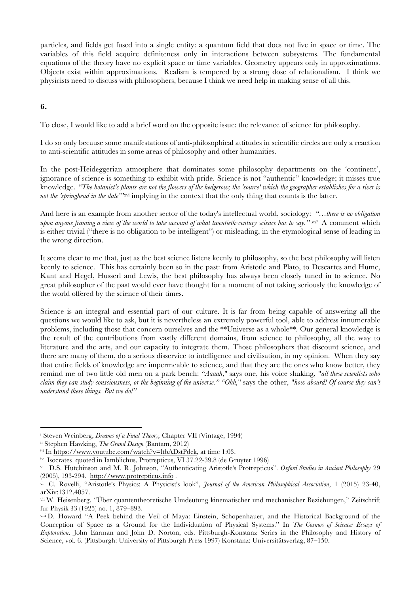particles, and fields get fused into a single entity: a quantum field that does not live in space or time. The variables of this field acquire definiteness only in interactions between subsystems. The fundamental equations of the theory have no explicit space or time variables. Geometry appears only in approximations. Objects exist within approximations. Realism is tempered by a strong dose of relationalism. I think we physicists need to discuss with philosophers, because I think we need help in making sense of all this.

## **6.**

 $\overline{a}$ 

To close, I would like to add a brief word on the opposite issue: the relevance of science for philosophy.

I do so only because some manifestations of anti-philosophical attitudes in scientific circles are only a reaction to anti-scientific attitudes in some areas of philosophy and other humanities.

In the post-Heideggerian atmosphere that dominates some philosophy departments on the 'continent', ignorance of science is something to exhibit with pride. Science is not "authentic" knowledge; it misses true knowledge. "The botanist's plants are not the flowers of the hedgerow; the 'source' which the geographer establishes for a river is *not the 'springhead in the dale'"*xvi implying in the context that the only thing that counts is the latter.

And here is an example from another sector of the today's intellectual world, sociology: *"…there is no obligation* upon anyone framing a view of the world to take account of what twentieth-century science has to say." xvii A comment which is either trivial ("there is no obligation to be intelligent") or misleading, in the etymological sense of leading in the wrong direction.

It seems clear to me that, just as the best science listens keenly to philosophy, so the best philosophy will listen keenly to science. This has certainly been so in the past: from Aristotle and Plato, to Descartes and Hume, Kant and Hegel, Husserl and Lewis, the best philosophy has always been closely tuned in to science. No great philosopher of the past would ever have thought for a moment of not taking seriously the knowledge of the world offered by the science of their times.

Science is an integral and essential part of our culture. It is far from being capable of answering all the questions we would like to ask, but it is nevertheless an extremely powerful tool, able to address innumerable problems, including those that concern ourselves and the \*\*Universe as a whole\*\*. Our general knowledge is the result of the contributions from vastly different domains, from science to philosophy, all the way to literature and the arts, and our capacity to integrate them. Those philosophers that discount science, and there are many of them, do a serious disservice to intelligence and civilisation, in my opinion. When they say that entire fields of knowledge are impermeable to science, and that they are the ones who know better, they remind me of two little old men on a park bench: "*Aaaah*," says one, his voice shaking, "*all these scientists who* claim they can study consciousness, or the beginning of the universe." "Ohh," says the other, "how absurd! Of course they can't *understand these things. But we do!"*

<sup>i</sup> Steven Weinberg, *Dreams of a Final Theory,* Chapter VII (Vintage, 1994)

ii Stephen Hawking, *The Grand Design* (Bantam, 2012)

iii In https://www.youtube.com/watch?v=ltbADstPdek, at time 1:03.

iv Isocrates quoted in Iamblichus, Protrepticus, VI 37.22-39.8 (de Gruyter 1996)

v D.S. Hutchinson and M. R. Johnson, "Authenticating Aristotle's Protrepticus". *Oxford Studies in Ancient Philosophy* 29 (2005), 193-294. http://www.protrepticus.info .

vi C. Rovelli, "Aristotle's Physics: A Physicist's look", *Journal of the American Philosophical Association*, 1 (2015) 23-40, arXiv:1312.4057.

vii W. Heisenberg, "Über quantentheoretische Umdeutung kinematischer und mechanischer Beziehungen," Zeitschrift fur Physik 33 (1925) no. 1, 879–893.

viii D. Howard "A Peek behind the Veil of Maya: Einstein, Schopenhauer, and the Historical Background of the Conception of Space as a Ground for the Individuation of Physical Systems." In *The Cosmos of Science: Essays of Exploration*. John Earman and John D. Norton, eds. Pittsburgh-Konstanz Series in the Philosophy and History of Science, vol. 6. (Pittsburgh: University of Pittsburgh Press 1997) Konstanz: Universitätsverlag, 87–150.